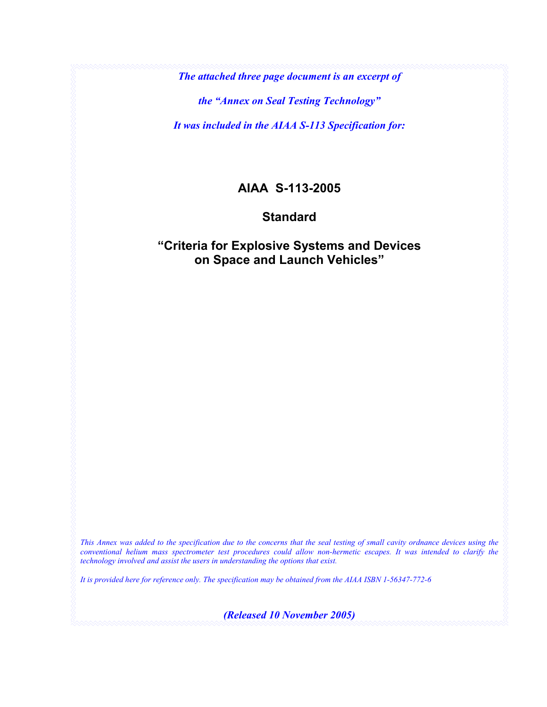*The attached three page document is an excerpt of* 

*the "Annex on Seal Testing Technology"* 

*It was included in the AIAA S-113 Specification for:* 

## **AIAA S-113-2005**

## **Standard**

## **"Criteria for Explosive Systems and Devices on Space and Launch Vehicles"**

*This Annex was added to the specification due to the concerns that the seal testing of small cavity ordnance devices using the conventional helium mass spectrometer test procedures could allow non-hermetic escapes. It was intended to clarify the technology involved and assist the users in understanding the options that exist.* 

*It is provided here for reference only. The specification may be obtained from the AIAA ISBN 1-56347-772-6* 

*(Released 10 November 2005)*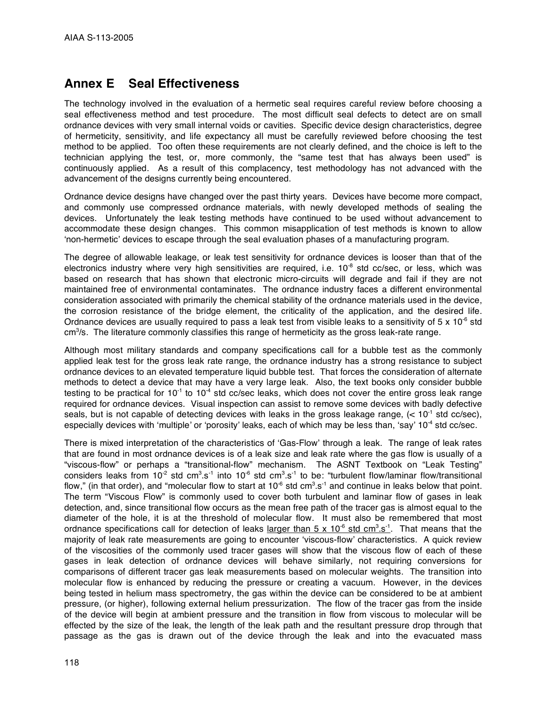## **Annex E Seal Effectiveness**

The technology involved in the evaluation of a hermetic seal requires careful review before choosing a seal effectiveness method and test procedure. The most difficult seal defects to detect are on small ordnance devices with very small internal voids or cavities. Specific device design characteristics, degree of hermeticity, sensitivity, and life expectancy all must be carefully reviewed before choosing the test method to be applied. Too often these requirements are not clearly defined, and the choice is left to the technician applying the test, or, more commonly, the "same test that has always been used" is continuously applied. As a result of this complacency, test methodology has not advanced with the advancement of the designs currently being encountered.

Ordnance device designs have changed over the past thirty years. Devices have become more compact, and commonly use compressed ordnance materials, with newly developed methods of sealing the devices. Unfortunately the leak testing methods have continued to be used without advancement to accommodate these design changes. This common misapplication of test methods is known to allow 'non-hermetic' devices to escape through the seal evaluation phases of a manufacturing program.

The degree of allowable leakage, or leak test sensitivity for ordnance devices is looser than that of the electronics industry where very high sensitivities are required, i.e.  $10^{-8}$  std cc/sec, or less, which was based on research that has shown that electronic micro-circuits will degrade and fail if they are not maintained free of environmental contaminates. The ordnance industry faces a different environmental consideration associated with primarily the chemical stability of the ordnance materials used in the device, the corrosion resistance of the bridge element, the criticality of the application, and the desired life. Ordnance devices are usually required to pass a leak test from visible leaks to a sensitivity of 5  $\times$  10<sup>-6</sup> std cm<sup>3</sup>/s. The literature commonly classifies this range of hermeticity as the gross leak-rate range.

Although most military standards and company specifications call for a bubble test as the commonly applied leak test for the gross leak rate range, the ordnance industry has a strong resistance to subject ordnance devices to an elevated temperature liquid bubble test. That forces the consideration of alternate methods to detect a device that may have a very large leak. Also, the text books only consider bubble testing to be practical for  $10^{-1}$  to  $10^{-4}$  std cc/sec leaks, which does not cover the entire gross leak range required for ordnance devices. Visual inspection can assist to remove some devices with badly defective seals, but is not capable of detecting devices with leaks in the gross leakage range,  $(< 10^{-1}$  std cc/sec), especially devices with 'multiple' or 'porosity' leaks, each of which may be less than, 'say' 10<sup>-4</sup> std cc/sec.

There is mixed interpretation of the characteristics of 'Gas-Flow' through a leak. The range of leak rates that are found in most ordnance devices is of a leak size and leak rate where the gas flow is usually of a "viscous-flow" or perhaps a "transitional-flow" mechanism. The ASNT Textbook on "Leak Testing" considers leaks from 10<sup>-2</sup> std cm<sup>3</sup>.s<sup>-1</sup> into 10<sup>-6</sup> std cm<sup>3</sup>.s<sup>-1</sup> to be: "turbulent flow/laminar flow/transitional flow," (in that order), and "molecular flow to start at 10<sup>-6</sup> std cm $^3.$ s<sup>-1</sup> and continue in leaks below that point. The term "Viscous Flow" is commonly used to cover both turbulent and laminar flow of gases in leak detection, and, since transitional flow occurs as the mean free path of the tracer gas is almost equal to the diameter of the hole, it is at the threshold of molecular flow. It must also be remembered that most ordnance specifications call for detection of leaks <u>larger than 5 x 10<sup>-6</sup> std cm<sup>3</sup>.s<sup>-1</sup>. That means that the</u> majority of leak rate measurements are going to encounter 'viscous-flow' characteristics. A quick review of the viscosities of the commonly used tracer gases will show that the viscous flow of each of these gases in leak detection of ordnance devices will behave similarly, not requiring conversions for comparisons of different tracer gas leak measurements based on molecular weights. The transition into molecular flow is enhanced by reducing the pressure or creating a vacuum. However, in the devices being tested in helium mass spectrometry, the gas within the device can be considered to be at ambient pressure, (or higher), following external helium pressurization. The flow of the tracer gas from the inside of the device will begin at ambient pressure and the transition in flow from viscous to molecular will be effected by the size of the leak, the length of the leak path and the resultant pressure drop through that passage as the gas is drawn out of the device through the leak and into the evacuated mass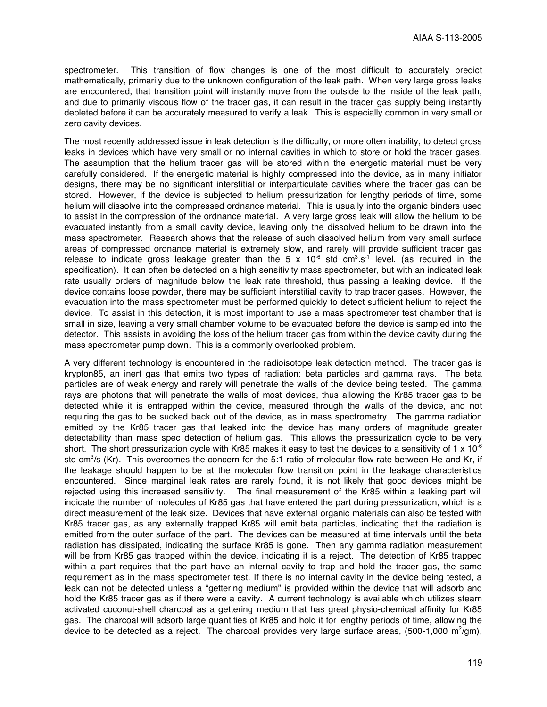spectrometer. This transition of flow changes is one of the most difficult to accurately predict mathematically, primarily due to the unknown configuration of the leak path. When very large gross leaks are encountered, that transition point will instantly move from the outside to the inside of the leak path, and due to primarily viscous flow of the tracer gas, it can result in the tracer gas supply being instantly depleted before it can be accurately measured to verify a leak. This is especially common in very small or zero cavity devices.

The most recently addressed issue in leak detection is the difficulty, or more often inability, to detect gross leaks in devices which have very small or no internal cavities in which to store or hold the tracer gases. The assumption that the helium tracer gas will be stored within the energetic material must be very carefully considered. If the energetic material is highly compressed into the device, as in many initiator designs, there may be no significant interstitial or interparticulate cavities where the tracer gas can be stored. However, if the device is subjected to helium pressurization for lengthy periods of time, some helium will dissolve into the compressed ordnance material. This is usually into the organic binders used to assist in the compression of the ordnance material. A very large gross leak will allow the helium to be evacuated instantly from a small cavity device, leaving only the dissolved helium to be drawn into the mass spectrometer. Research shows that the release of such dissolved helium from very small surface areas of compressed ordnance material is extremely slow, and rarely will provide sufficient tracer gas release to indicate gross leakage greater than the 5 x 10<sup>-6</sup> std cm<sup>3</sup>.s<sup>-1</sup> level, (as required in the specification). It can often be detected on a high sensitivity mass spectrometer, but with an indicated leak rate usually orders of magnitude below the leak rate threshold, thus passing a leaking device. If the device contains loose powder, there may be sufficient interstitial cavity to trap tracer gases. However, the evacuation into the mass spectrometer must be performed quickly to detect sufficient helium to reject the device. To assist in this detection, it is most important to use a mass spectrometer test chamber that is small in size, leaving a very small chamber volume to be evacuated before the device is sampled into the detector. This assists in avoiding the loss of the helium tracer gas from within the device cavity during the mass spectrometer pump down. This is a commonly overlooked problem.

A very different technology is encountered in the radioisotope leak detection method. The tracer gas is krypton85, an inert gas that emits two types of radiation: beta particles and gamma rays. The beta particles are of weak energy and rarely will penetrate the walls of the device being tested. The gamma rays are photons that will penetrate the walls of most devices, thus allowing the Kr85 tracer gas to be detected while it is entrapped within the device, measured through the walls of the device, and not requiring the gas to be sucked back out of the device, as in mass spectrometry. The gamma radiation emitted by the Kr85 tracer gas that leaked into the device has many orders of magnitude greater detectability than mass spec detection of helium gas. This allows the pressurization cycle to be very short. The short pressurization cycle with Kr85 makes it easy to test the devices to a sensitivity of 1 x 10<sup>-6</sup> std cm<sup>3</sup>/s (Kr). This overcomes the concern for the 5:1 ratio of molecular flow rate between He and Kr, if the leakage should happen to be at the molecular flow transition point in the leakage characteristics encountered. Since marginal leak rates are rarely found, it is not likely that good devices might be rejected using this increased sensitivity. The final measurement of the Kr85 within a leaking part will indicate the number of molecules of Kr85 gas that have entered the part during pressurization, which is a direct measurement of the leak size. Devices that have external organic materials can also be tested with Kr85 tracer gas, as any externally trapped Kr85 will emit beta particles, indicating that the radiation is emitted from the outer surface of the part. The devices can be measured at time intervals until the beta radiation has dissipated, indicating the surface Kr85 is gone. Then any gamma radiation measurement will be from Kr85 gas trapped within the device, indicating it is a reject. The detection of Kr85 trapped within a part requires that the part have an internal cavity to trap and hold the tracer gas, the same requirement as in the mass spectrometer test. If there is no internal cavity in the device being tested, a leak can not be detected unless a "gettering medium" is provided within the device that will adsorb and hold the Kr85 tracer gas as if there were a cavity. A current technology is available which utilizes steam activated coconut-shell charcoal as a gettering medium that has great physio-chemical affinity for Kr85 gas. The charcoal will adsorb large quantities of Kr85 and hold it for lengthy periods of time, allowing the device to be detected as a reject. The charcoal provides very large surface areas, (500-1,000 m<sup>2</sup>/gm),